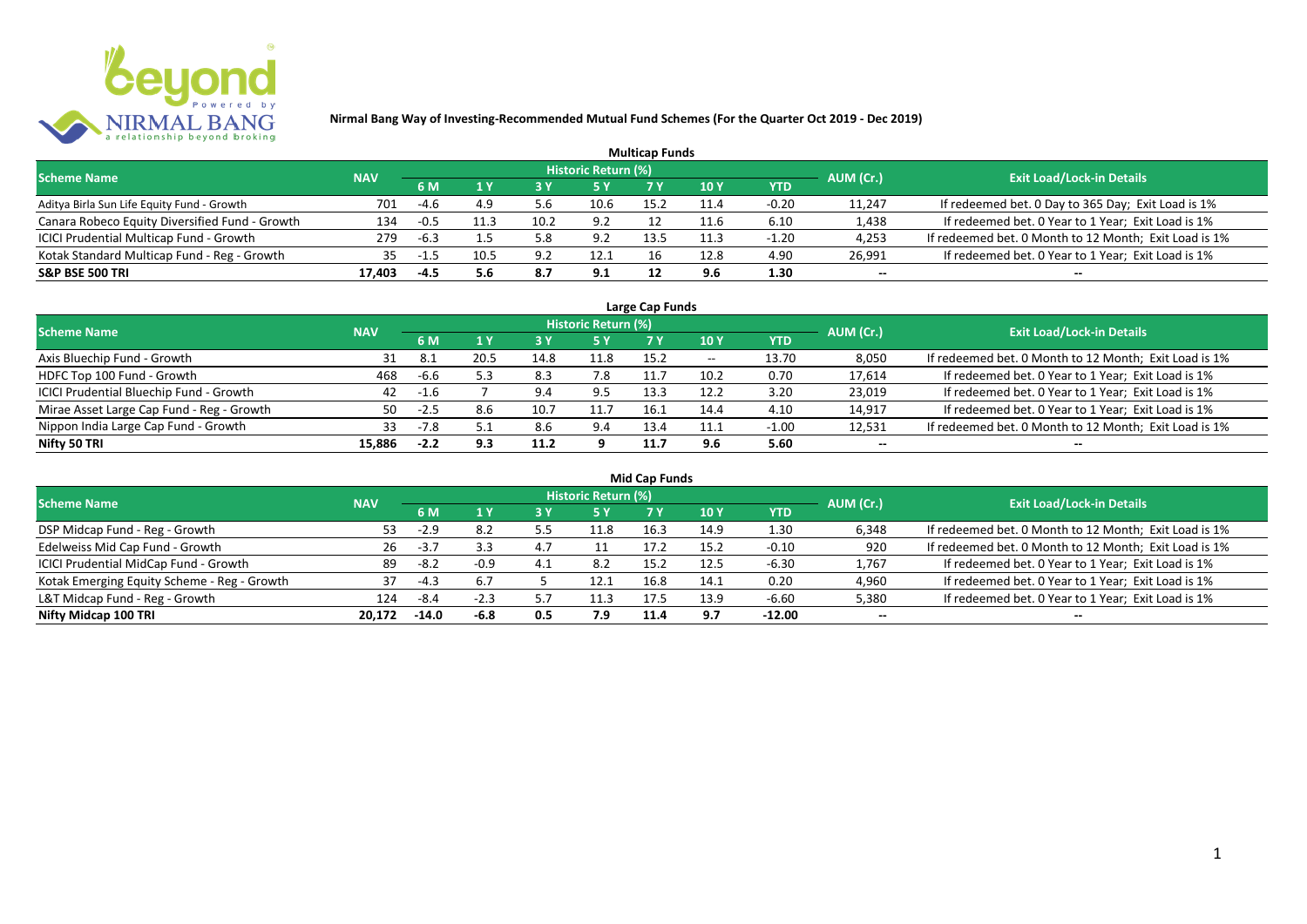

| <b>Multicap Funds</b>                          |            |        |      |      |                     |      |      |         |           |                                                       |  |  |  |
|------------------------------------------------|------------|--------|------|------|---------------------|------|------|---------|-----------|-------------------------------------------------------|--|--|--|
| <b>Scheme Name</b>                             | <b>NAV</b> |        |      |      | Historic Return (%) |      |      |         | AUM (Cr.) | <b>Exit Load/Lock-in Details</b>                      |  |  |  |
|                                                |            | 6 M    |      |      |                     |      | 10 Y | YTD     |           |                                                       |  |  |  |
| Aditya Birla Sun Life Equity Fund - Growth     | 701        | -4.6   | 4.9  | 5.6  | 10.6                | 15.2 | 11.4 | $-0.20$ | 11,247    | If redeemed bet. 0 Day to 365 Day; Exit Load is 1%    |  |  |  |
| Canara Robeco Equity Diversified Fund - Growth | 134        | -0.5   |      | 10.2 | 9.2                 |      |      | 6.10    | 1,438     | If redeemed bet. 0 Year to 1 Year; Exit Load is 1%    |  |  |  |
| ICICI Prudential Multicap Fund - Growth        | 279        | $-6.3$ |      | 5.8  | 9.2                 | 13.5 | 11.3 | $-1.20$ | 4,253     | If redeemed bet. 0 Month to 12 Month; Exit Load is 1% |  |  |  |
| Kotak Standard Multicap Fund - Reg - Growth    | 35         | -1.5   | 10.5 | 9.2  | 12.1                |      | 12.8 | 4.90    | 26,991    | If redeemed bet. 0 Year to 1 Year; Exit Load is 1%    |  |  |  |
| <b>S&amp;P BSE 500 TRI</b>                     | 17.403     | -4.5   | 5.6  | 8.7  | 9.1                 |      | 9.6  | 1.30    | --        | $- -$                                                 |  |  |  |

| Large Cap Funds                           |            |           |      |      |                            |      |                          |         |           |                                                       |  |  |  |
|-------------------------------------------|------------|-----------|------|------|----------------------------|------|--------------------------|---------|-----------|-------------------------------------------------------|--|--|--|
| <b>Scheme Name</b>                        | <b>NAV</b> |           |      |      | <b>Historic Return (%)</b> |      |                          |         | AUM (Cr.) | <b>Exit Load/Lock-in Details</b>                      |  |  |  |
|                                           |            | <b>6M</b> |      |      | <b>5 Y</b>                 | 7 Y  | 10Y                      | YTD     |           |                                                       |  |  |  |
| Axis Bluechip Fund - Growth               | 31         | 8.1       | 20.5 | 14.8 | 11.8                       | 15.2 | $\overline{\phantom{a}}$ | 13.70   | 8,050     | If redeemed bet. 0 Month to 12 Month; Exit Load is 1% |  |  |  |
| HDFC Top 100 Fund - Growth                | 468        | -6.6      |      | 8.3  | 7.8                        |      | 10.2                     | 0.70    | 17,614    | If redeemed bet. 0 Year to 1 Year; Exit Load is 1%    |  |  |  |
| ICICI Prudential Bluechip Fund - Growth   | 42         | -1.6      |      | 9.4  | 9.5                        | 13.3 | 12.2                     | 3.20    | 23,019    | If redeemed bet. 0 Year to 1 Year; Exit Load is 1%    |  |  |  |
| Mirae Asset Large Cap Fund - Reg - Growth | 50         | -2.5      | 8.6  | 10.7 |                            | 16.  | 14.4                     | 4.10    | 14,917    | If redeemed bet. 0 Year to 1 Year; Exit Load is 1%    |  |  |  |
| Nippon India Large Cap Fund - Growth      | 33         | $-7.8$    |      | 8.6  | 9.4                        | 13.4 | 11.1                     | $-1.00$ | 12,531    | If redeemed bet. 0 Month to 12 Month; Exit Load is 1% |  |  |  |
| Nifty 50 TRI                              | 15.886     | $-2.2$    | 9.3  | 11.2 |                            | 11.7 | 9.6                      | 5.60    | $- -$     | $- -$                                                 |  |  |  |

| <b>Mid Cap Funds</b>                        |            |         |        |           |                            |      |      |            |           |                                                       |  |  |  |
|---------------------------------------------|------------|---------|--------|-----------|----------------------------|------|------|------------|-----------|-------------------------------------------------------|--|--|--|
| <b>Scheme Name</b>                          | <b>NAV</b> |         |        |           | <b>Historic Return (%)</b> |      |      |            | AUM (Cr.) | <b>Exit Load/Lock-in Details</b>                      |  |  |  |
|                                             |            | 6 M     |        |           | <b>5 Y</b>                 | 7 Y  | 10 Y | <b>YTD</b> |           |                                                       |  |  |  |
| DSP Midcap Fund - Reg - Growth              | 53         | $-2.9$  | 8.2    | 55<br>ر.ر | 11.8                       | 16.3 | 14.9 | 1.30       | 6,348     | If redeemed bet. 0 Month to 12 Month; Exit Load is 1% |  |  |  |
| Edelweiss Mid Cap Fund - Growth             | 26         | $-3.7$  | 3.3    | 4.        |                            | 17.2 | 15.2 | $-0.10$    | 920       | If redeemed bet. 0 Month to 12 Month; Exit Load is 1% |  |  |  |
| ICICI Prudential MidCap Fund - Growth       | 89         | $-8.2$  | $-0.9$ | 4.1       | 8.2                        | 15.2 | 12.5 | $-6.30$    | 1,767     | If redeemed bet. 0 Year to 1 Year; Exit Load is 1%    |  |  |  |
| Kotak Emerging Equity Scheme - Reg - Growth | 37         | $-4.3$  | 6.7    |           | 12.1                       | 16.8 | 14.1 | 0.20       | 4,960     | If redeemed bet. 0 Year to 1 Year; Exit Load is 1%    |  |  |  |
| L&T Midcap Fund - Reg - Growth              | 124        | -8.4    | $-2.3$ |           | 11.3                       | 17.5 | 13.9 | -6.60      | 5,380     | If redeemed bet. 0 Year to 1 Year; Exit Load is 1%    |  |  |  |
| Nifty Midcap 100 TRI                        | 20.172     | $-14.0$ | $-6.8$ | 0.5       | 7.9                        | 11.4 | 9.7  | $-12.00$   | $- -$     | $- -$                                                 |  |  |  |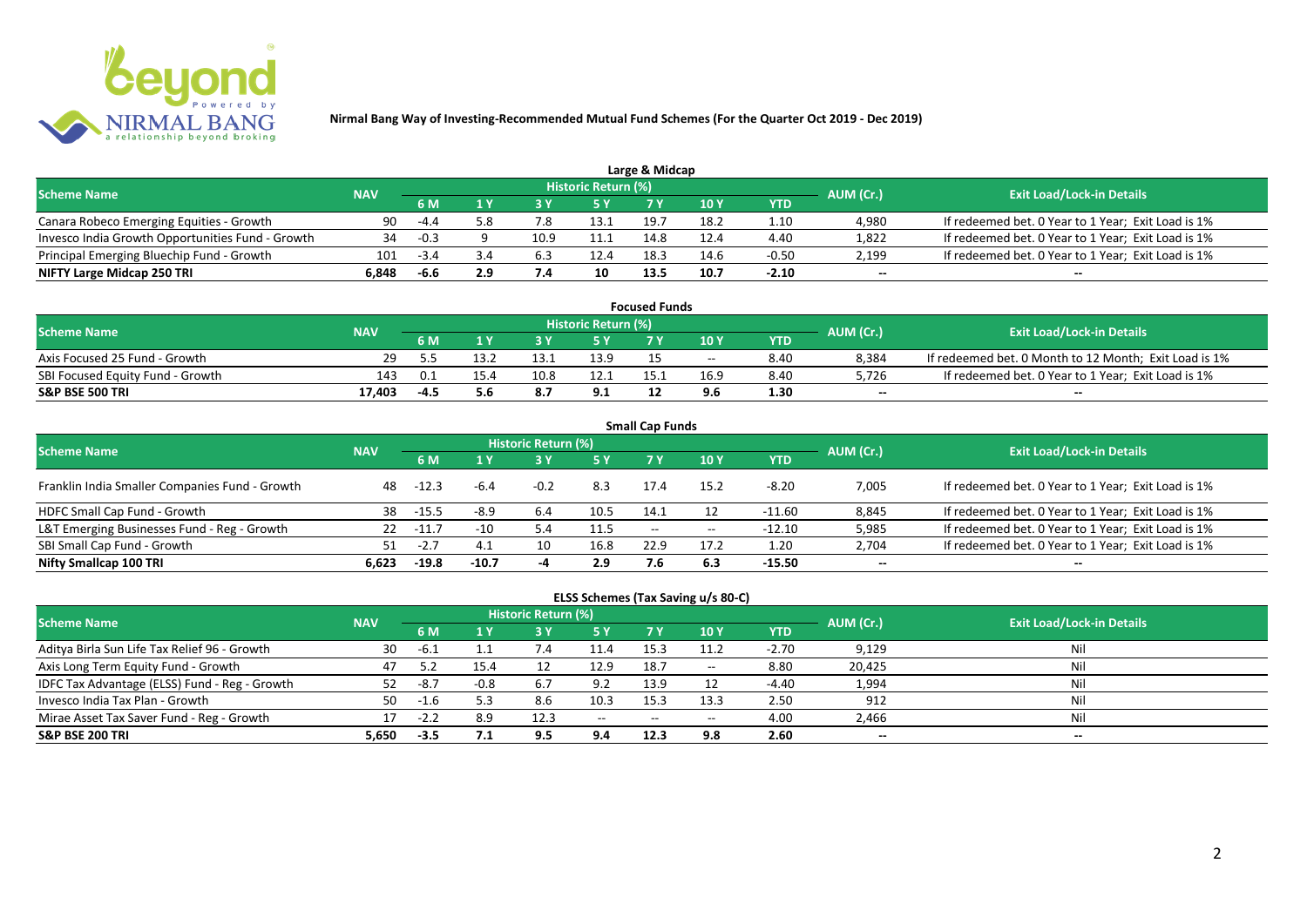

| Large & Midcap                                   |            |        |     |      |                            |      |      |         |           |                                                    |  |  |  |
|--------------------------------------------------|------------|--------|-----|------|----------------------------|------|------|---------|-----------|----------------------------------------------------|--|--|--|
| <b>Scheme Name</b>                               | <b>NAV</b> |        |     |      | <b>Historic Return (%)</b> |      |      |         | AUM (Cr.) | <b>Exit Load/Lock-in Details</b>                   |  |  |  |
|                                                  |            | 6 M    |     |      | 5 Y                        |      |      | YTD     |           |                                                    |  |  |  |
| Canara Robeco Emerging Equities - Growth         | 90         | -44    | 5.8 |      | 13.1                       | 19.  | 18.2 | 1.10    | 4.980     | If redeemed bet. 0 Year to 1 Year; Exit Load is 1% |  |  |  |
| Invesco India Growth Opportunities Fund - Growth | 34         | -0.3   |     | 10.9 |                            | 14.8 | 12.4 | 4.40    | 1,822     | If redeemed bet. 0 Year to 1 Year; Exit Load is 1% |  |  |  |
| Principal Emerging Bluechip Fund - Growth        | 101        | $-3.4$ |     |      | 12.4                       | 18.3 | 14.6 | $-0.50$ | 2,199     | If redeemed bet. 0 Year to 1 Year; Exit Load is 1% |  |  |  |
| NIFTY Large Midcap 250 TRI                       | 6.848      | -6.6   | 2.9 |      | 10                         | 13.5 | 10.7 | $-2.10$ | $- -$     | $- -$                                              |  |  |  |

| <b>Focused Funds</b>             |            |                           |      |      |                            |  |       |      |           |                                                       |  |  |
|----------------------------------|------------|---------------------------|------|------|----------------------------|--|-------|------|-----------|-------------------------------------------------------|--|--|
| <b>Scheme Name</b>               | <b>NAV</b> |                           |      |      | <b>Historic Return (%)</b> |  |       |      | AUM (Cr.) | <b>Exit Load/Lock-in Details</b>                      |  |  |
|                                  |            | 5 Y<br>10 Y<br>6 M<br>YTD |      |      |                            |  |       |      |           |                                                       |  |  |
| Axis Focused 25 Fund - Growth    | 29.        |                           | 13.2 |      | 13.9                       |  | $- -$ | 8.40 | 8,384     | If redeemed bet. 0 Month to 12 Month; Exit Load is 1% |  |  |
| SBI Focused Equity Fund - Growth | 143        | 0.1                       | 15.4 | 10.8 | 12.1                       |  |       | 8.40 | 5,726     | If redeemed bet. 0 Year to 1 Year; Exit Load is 1%    |  |  |
| <b>S&amp;P BSE 500 TRI</b>       | 17,403     |                           |      | 8.7  | 9.1                        |  | 9.6   | 1.30 | $-$       | $-$                                                   |  |  |

| <b>Small Cap Funds</b>                         |            |         |         |                     |      |                   |       |            |           |                                                    |  |  |  |
|------------------------------------------------|------------|---------|---------|---------------------|------|-------------------|-------|------------|-----------|----------------------------------------------------|--|--|--|
| <b>Scheme Name</b>                             | <b>NAV</b> |         |         | Historic Return (%) |      |                   |       |            | AUM (Cr.) | <b>Exit Load/Lock-in Details</b>                   |  |  |  |
|                                                |            |         |         |                     | 5 Y  | 7 Y               | 710Y  | <b>YTD</b> |           |                                                    |  |  |  |
| Franklin India Smaller Companies Fund - Growth | 48         | -12.3   | -6.4    | $-0.2$              | 8.3  | 17.4              | 15.2  | $-8.20$    | 7,005     | If redeemed bet. 0 Year to 1 Year; Exit Load is 1% |  |  |  |
| HDFC Small Cap Fund - Growth                   | 38         | $-15.5$ | $-8.9$  | 6.4                 | 10.5 | 14.1              | 12    | -11.60     | 8,845     | If redeemed bet. 0 Year to 1 Year; Exit Load is 1% |  |  |  |
| L&T Emerging Businesses Fund - Reg - Growth    | 22         | $-11.7$ | $-10$   | 5.4                 | 11.5 | $\hspace{0.05cm}$ | $- -$ | $-12.10$   | 5,985     | If redeemed bet. 0 Year to 1 Year; Exit Load is 1% |  |  |  |
| SBI Small Cap Fund - Growth                    |            | -2.,    | 4.1     | 10                  | 16.8 | 22.9              | 17.2  | 1.20       | 2,704     | If redeemed bet. 0 Year to 1 Year; Exit Load is 1% |  |  |  |
| Nifty Smallcap 100 TRI                         | 6.623      | $-19.8$ | $-10.7$ |                     | 2.9  | 7.6               | 6.3   | $-15.50$   | $- -$     | --                                                 |  |  |  |

## **ELSS Schemes (Tax Saving u/s 80-C)**

| <b>Scheme Name</b>                            | <b>NAV</b> |        |        | <b>Historic Return (%)</b> |            |                 |                          |         | AUM (Cr.) | <b>Exit Load/Lock-in Details</b> |
|-----------------------------------------------|------------|--------|--------|----------------------------|------------|-----------------|--------------------------|---------|-----------|----------------------------------|
|                                               |            | 6 M    |        |                            | <b>5 Y</b> | 7 Y             | <b>10 Y</b>              | YTD     |           |                                  |
| Aditya Birla Sun Life Tax Relief 96 - Growth  | 30         | $-6.1$ |        |                            | 11.4       | 15.3            | 11.2                     | $-2.70$ | 9,129     | Nil                              |
| Axis Long Term Equity Fund - Growth           | 47         |        | 15.4   |                            | 12.9       | 18.7            | $\overline{\phantom{a}}$ | 8.80    | 20,425    | Nil                              |
| IDFC Tax Advantage (ELSS) Fund - Reg - Growth |            | -8.7   | $-0.8$ | 6.7                        | 9.2        | 13.9            |                          | $-4.40$ | 1,994     | Nil                              |
| Invesco India Tax Plan - Growth               | 50.        | -1.6   |        | 8.6                        | 10.3       | 15 <sup>2</sup> | 13.3                     | 2.50    | 912       | Nil                              |
| Mirae Asset Tax Saver Fund - Reg - Growth     |            | -22    | 8.9    | 12.3                       | $-$        | $- -$           | $\overline{\phantom{a}}$ | 4.00    | 2,466     | Nil                              |
| <b>S&amp;P BSE 200 TRI</b>                    | 5,650      | $-3.5$ |        | 9.5                        | 9.4        | 12.3            | 9.8                      | 2.60    | $- -$     | $- -$                            |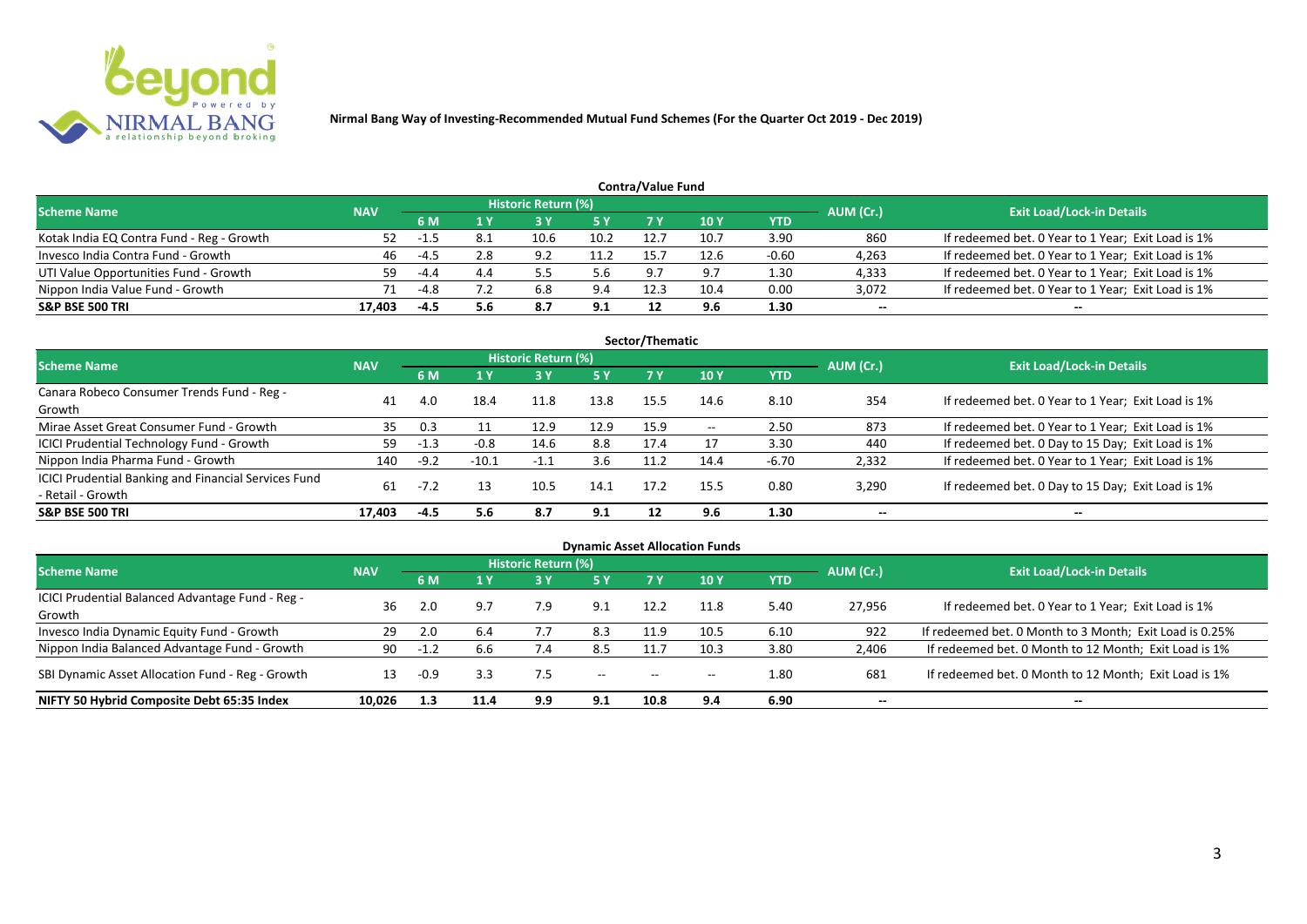

| <b>Contra/Value Fund</b>                  |            |        |      |                            |           |      |      |         |           |                                                    |  |  |  |
|-------------------------------------------|------------|--------|------|----------------------------|-----------|------|------|---------|-----------|----------------------------------------------------|--|--|--|
| <b>Scheme Name</b>                        | <b>NAV</b> |        |      | <b>Historic Return (%)</b> |           |      |      |         | AUM (Cr.) | <b>Exit Load/Lock-in Details</b>                   |  |  |  |
|                                           |            | 6 M    |      |                            | <b>5Y</b> |      | 10 Y | YTD     |           |                                                    |  |  |  |
| Kotak India EQ Contra Fund - Reg - Growth | 52.        |        | -8.1 | 10.6                       | 10.2      | 12.7 | 10.7 | 3.90    | 860       | If redeemed bet. 0 Year to 1 Year; Exit Load is 1% |  |  |  |
| Invesco India Contra Fund - Growth        | 46         | -4.5   | 2.8  | 9.2                        | 11.2      | 15.  | 12.6 | $-0.60$ | 4,263     | If redeemed bet. 0 Year to 1 Year; Exit Load is 1% |  |  |  |
| UTI Value Opportunities Fund - Growth     | 59         | $-4.4$ | 4.4  |                            | 5.6       | 9.7  | 9.7  | 1.30    | 4,333     | If redeemed bet. 0 Year to 1 Year; Exit Load is 1% |  |  |  |
| Nippon India Value Fund - Growth          | 71         | -4.8   |      | 6.8                        |           | 12.3 | 10.4 | 0.00    | 3,072     | If redeemed bet. 0 Year to 1 Year; Exit Load is 1% |  |  |  |
| <b>S&amp;P BSE 500 TRI</b>                | 17.403     | -4.5   | 5.6  | 8.7                        | 9.1       | 12   | 9.6  | 1.30    | $- -$     | $-$                                                |  |  |  |

| Sector/Thematic                                             |            |        |         |                            |            |      |       |            |           |                                                    |  |  |  |
|-------------------------------------------------------------|------------|--------|---------|----------------------------|------------|------|-------|------------|-----------|----------------------------------------------------|--|--|--|
| <b>Scheme Name</b>                                          | <b>NAV</b> |        |         | <b>Historic Return (%)</b> |            |      |       |            | AUM (Cr.) | <b>Exit Load/Lock-in Details</b>                   |  |  |  |
|                                                             |            | 6 M    | 1 Y     | <b>73 Y</b>                | <b>5 Y</b> | 7 Y  | 10Y   | <b>YTD</b> |           |                                                    |  |  |  |
| Canara Robeco Consumer Trends Fund - Reg -                  | 41         | 4.0    | 18.4    | 11.8                       | 13.8       | 15.5 | 14.6  | 8.10       | 354       | If redeemed bet. 0 Year to 1 Year; Exit Load is 1% |  |  |  |
| Growth                                                      |            |        |         |                            |            |      |       |            |           |                                                    |  |  |  |
| Mirae Asset Great Consumer Fund - Growth                    | 35         | 0.3    |         | 12.9                       | 12.9       | 15.9 | $- -$ | 2.50       | 873       | If redeemed bet. 0 Year to 1 Year; Exit Load is 1% |  |  |  |
| <b>ICICI Prudential Technology Fund - Growth</b>            | 59         | $-1.3$ | $-0.8$  | 14.6                       | 8.8        | 17.4 |       | 3.30       | 440       | If redeemed bet. 0 Day to 15 Day; Exit Load is 1%  |  |  |  |
| Nippon India Pharma Fund - Growth                           | 140        | $-9.2$ | $-10.1$ | $-1.1$                     | 3.6        | 11.2 | 14.4  | $-6.70$    | 2,332     | If redeemed bet. 0 Year to 1 Year; Exit Load is 1% |  |  |  |
| <b>ICICI Prudential Banking and Financial Services Fund</b> |            |        |         |                            |            |      |       |            |           |                                                    |  |  |  |
| - Retail - Growth                                           | 61         |        | 13      | 10.5                       | 14.1       | 17.2 | 15.5  | 0.80       | 3,290     | If redeemed bet. 0 Day to 15 Day; Exit Load is 1%  |  |  |  |
| <b>S&amp;P BSE 500 TRI</b>                                  | 17.403     | -4.5   | 5.6     | 8.7                        | 9.1        | 12   | 9.6   | 1.30       | --        | $- -$                                              |  |  |  |

| <b>Dynamic Asset Allocation Funds</b>                      |            |        |                |                     |       |           |                          |            |           |                                                         |  |  |  |
|------------------------------------------------------------|------------|--------|----------------|---------------------|-------|-----------|--------------------------|------------|-----------|---------------------------------------------------------|--|--|--|
| <b>Scheme Name</b>                                         | <b>NAV</b> |        |                | Historic Return (%) |       |           |                          |            | AUM (Cr.) | <b>Exit Load/Lock-in Details</b>                        |  |  |  |
|                                                            |            |        | 1 <sub>N</sub> |                     | 5 Y   | <b>7Y</b> | <b>10Y</b>               | <b>YTD</b> |           |                                                         |  |  |  |
| ICICI Prudential Balanced Advantage Fund - Reg -<br>Growth | 36         |        | 9.7            | 7.9                 | 9.1   | 12.2      | 11.8                     | 5.40       | 27,956    | If redeemed bet. 0 Year to 1 Year; Exit Load is 1%      |  |  |  |
| Invesco India Dynamic Equity Fund - Growth                 | 29         |        | 6.4            |                     | 8.3   | 11.9      | 10.5                     | 6.10       | 922       | If redeemed bet. 0 Month to 3 Month; Exit Load is 0.25% |  |  |  |
| Nippon India Balanced Advantage Fund - Growth              | 90         | $-1.2$ | 6.6            |                     | 8.5   |           | 10.3                     | 3.80       | 2,406     | If redeemed bet. 0 Month to 12 Month; Exit Load is 1%   |  |  |  |
| SBI Dynamic Asset Allocation Fund - Reg - Growth           | 13         | $-0.9$ | 3.3            | 7.5                 | $- -$ | $-$       | $\overline{\phantom{a}}$ | 1.80       | 681       | If redeemed bet. 0 Month to 12 Month; Exit Load is 1%   |  |  |  |
| NIFTY 50 Hybrid Composite Debt 65:35 Index                 | 10,026     | 1.3    | 11.4           | 9.9                 | 9.1   | 10.8      | 9.4                      | 6.90       | $- -$     | $- -$                                                   |  |  |  |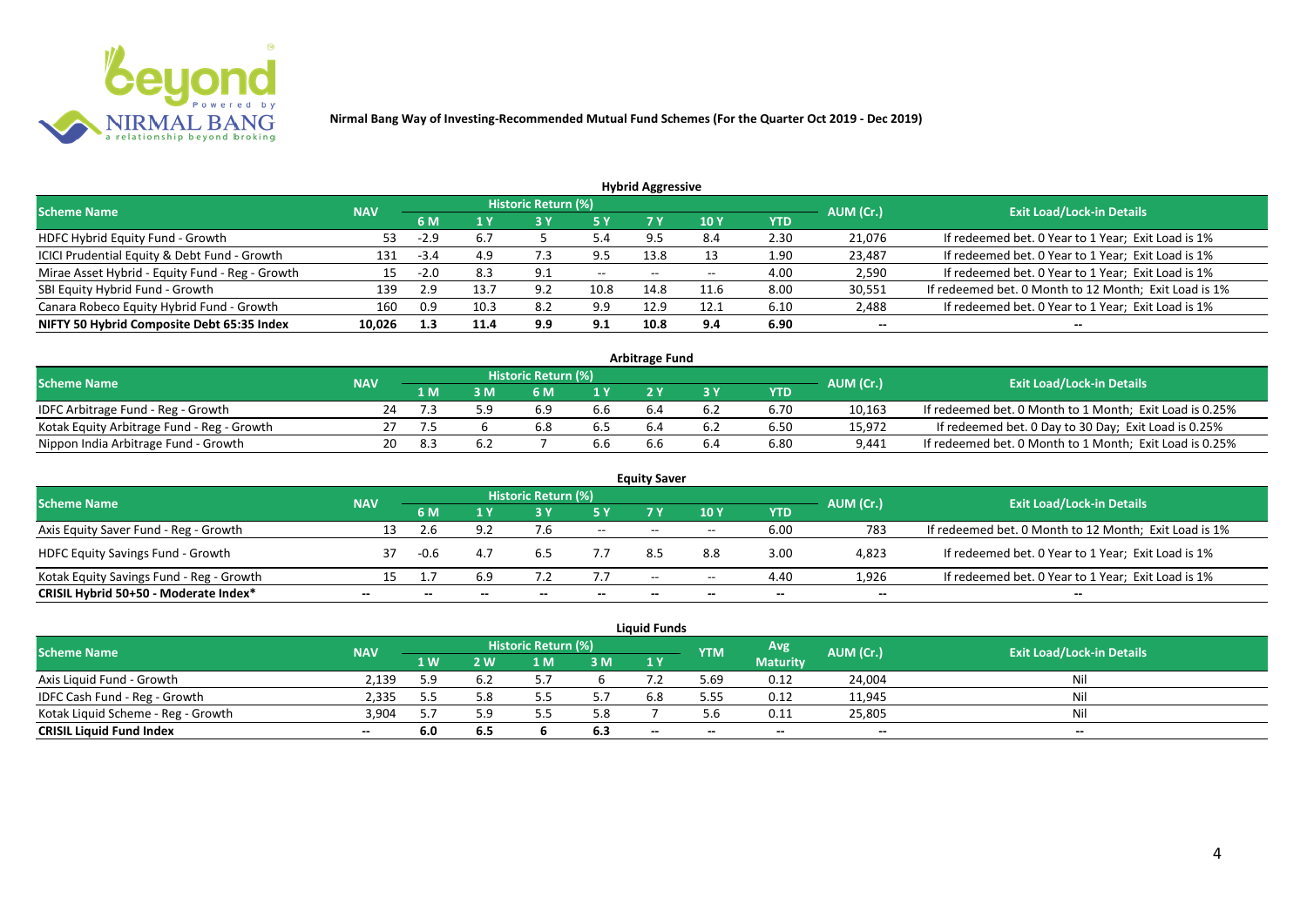

| <b>Hybrid Aggressive</b> |                   |      |      |      |                            |       |      |        |                                                       |  |  |  |  |
|--------------------------|-------------------|------|------|------|----------------------------|-------|------|--------|-------------------------------------------------------|--|--|--|--|
|                          |                   |      |      |      |                            |       |      |        | <b>Exit Load/Lock-in Details</b>                      |  |  |  |  |
|                          | 6 M<br>5 Y<br>4 Y |      |      | 10 Y | <b>YTD</b>                 |       |      |        |                                                       |  |  |  |  |
| 53                       | $-2.9$            | 6.7  |      | 5.4  |                            | 8.4   | 2.30 | 21,076 | If redeemed bet. 0 Year to 1 Year; Exit Load is 1%    |  |  |  |  |
| 131                      | $-3.4$            | 4.9  | ر. ، | 9.5  | 13.8                       |       | 1.90 | 23,487 | If redeemed bet. 0 Year to 1 Year; Exit Load is 1%    |  |  |  |  |
| 15.                      | $-2.0$            | 8.3  | 9.1  | $--$ | $- -$                      | $- -$ | 4.00 | 2,590  | If redeemed bet. 0 Year to 1 Year; Exit Load is 1%    |  |  |  |  |
| 139                      | 2.9               | 13.7 | 9.2  | 10.8 | 14.8                       | 11.6  | 8.00 | 30,551 | If redeemed bet. 0 Month to 12 Month; Exit Load is 1% |  |  |  |  |
| 160                      | 0.9               | 10.3 | 8.2  | 9.9  | 12.9                       | 12.1  | 6.10 | 2,488  | If redeemed bet. 0 Year to 1 Year; Exit Load is 1%    |  |  |  |  |
| 10,026                   | 1.3               | 11.4 | 9.9  | 9.1  | 10.8                       | 9.4   | 6.90 | $- -$  | --                                                    |  |  |  |  |
|                          | <b>NAV</b>        |      |      |      | <b>Historic Return (%)</b> |       |      |        | AUM (Cr.)                                             |  |  |  |  |

| <b>Arbitrage Fund</b>                      |            |     |     |                            |                  |     |     |      |           |                                                         |  |  |  |
|--------------------------------------------|------------|-----|-----|----------------------------|------------------|-----|-----|------|-----------|---------------------------------------------------------|--|--|--|
| <b>Scheme Name</b>                         | <b>NAV</b> |     |     | <b>Historic Return (%)</b> |                  |     |     |      | AUM (Cr.) | <b>Exit Load/Lock-in Details</b>                        |  |  |  |
|                                            |            | L M | : M | 6 M                        | $\overline{1}$ Y |     |     | YTD  |           |                                                         |  |  |  |
| IDFC Arbitrage Fund - Reg - Growth         | 24         |     | . u | 6.9                        | b.b              | b.4 | b.Z | 6.70 | 10,163    | If redeemed bet. 0 Month to 1 Month; Exit Load is 0.25% |  |  |  |
| Kotak Equity Arbitrage Fund - Reg - Growth |            |     |     | 6.8                        |                  |     |     | 6.50 | 15,972    | If redeemed bet. 0 Day to 30 Day; Exit Load is 0.25%    |  |  |  |
| Nippon India Arbitrage Fund - Growth       | 20.        |     | o.Z |                            | b.b              | b.b |     | 6.80 | 9,441     | If redeemed bet. 0 Month to 1 Month; Exit Load is 0.25% |  |  |  |

|                                          |            |        |     |                     |        | <b>Equity Saver</b> |       |            |           |                                                       |  |
|------------------------------------------|------------|--------|-----|---------------------|--------|---------------------|-------|------------|-----------|-------------------------------------------------------|--|
| <b>Scheme Name</b>                       | <b>NAV</b> |        |     | Historic Return (%) |        |                     |       |            |           | <b>Exit Load/Lock-in Details</b>                      |  |
|                                          |            | 6 M    |     |                     | 5 Y    | 7V                  | 10Y   | <b>YTD</b> | AUM (Cr.) |                                                       |  |
| Axis Equity Saver Fund - Reg - Growth    | 13         |        | 9.2 |                     | $\sim$ | $- -$               | $- -$ | 6.00       | 783       | If redeemed bet. 0 Month to 12 Month; Exit Load is 1% |  |
| <b>HDFC Equity Savings Fund - Growth</b> | 37         | $-0.6$ | 4.7 | 6.5                 |        | 8.5                 | 8.8   | 3.00       | 4,823     | If redeemed bet. 0 Year to 1 Year; Exit Load is 1%    |  |
| Kotak Equity Savings Fund - Reg - Growth | 15         |        | 6.9 |                     | 7.7    | $- -$               | $- -$ | 4.40       | 1.926     | If redeemed bet. 0 Year to 1 Year; Exit Load is 1%    |  |
| CRISIL Hybrid 50+50 - Moderate Index*    | $- -$      |        |     |                     |        | --                  | $- -$ | $- -$      | $- -$     | $- -$                                                 |  |

|                                    |            |     |     |                            |     | <b>Liquid Funds</b>      |            |                 |           |                                  |
|------------------------------------|------------|-----|-----|----------------------------|-----|--------------------------|------------|-----------------|-----------|----------------------------------|
| <b>Scheme Name</b>                 | <b>NAV</b> |     |     | <b>Historic Return (%)</b> |     |                          | <b>YTM</b> | Avg             | AUM (Cr.) | <b>Exit Load/Lock-in Details</b> |
|                                    |            | 1W  | 2 W | 1 M                        | 3M  | 1Y                       |            | <b>Maturity</b> |           |                                  |
| Axis Liquid Fund - Growth          | 2,139      | 5.9 |     |                            |     |                          | 5.69       | 0.12            | 24,004    | Nil                              |
| IDFC Cash Fund - Reg - Growth      | 2,335      |     | 5.8 |                            |     | 6.8                      | 5.55       | 0.12            | 11,945    | <b>Nil</b>                       |
| Kotak Liquid Scheme - Reg - Growth | 3,904      |     | : ດ |                            | 5.8 |                          |            | 0.11            | 25,805    | Nil                              |
| <b>CRISIL Liquid Fund Index</b>    | $- -$      | 6.0 | 6.5 |                            | 6.3 | $\overline{\phantom{a}}$ | $- -$      | $- -$           | $- -$     | $- -$                            |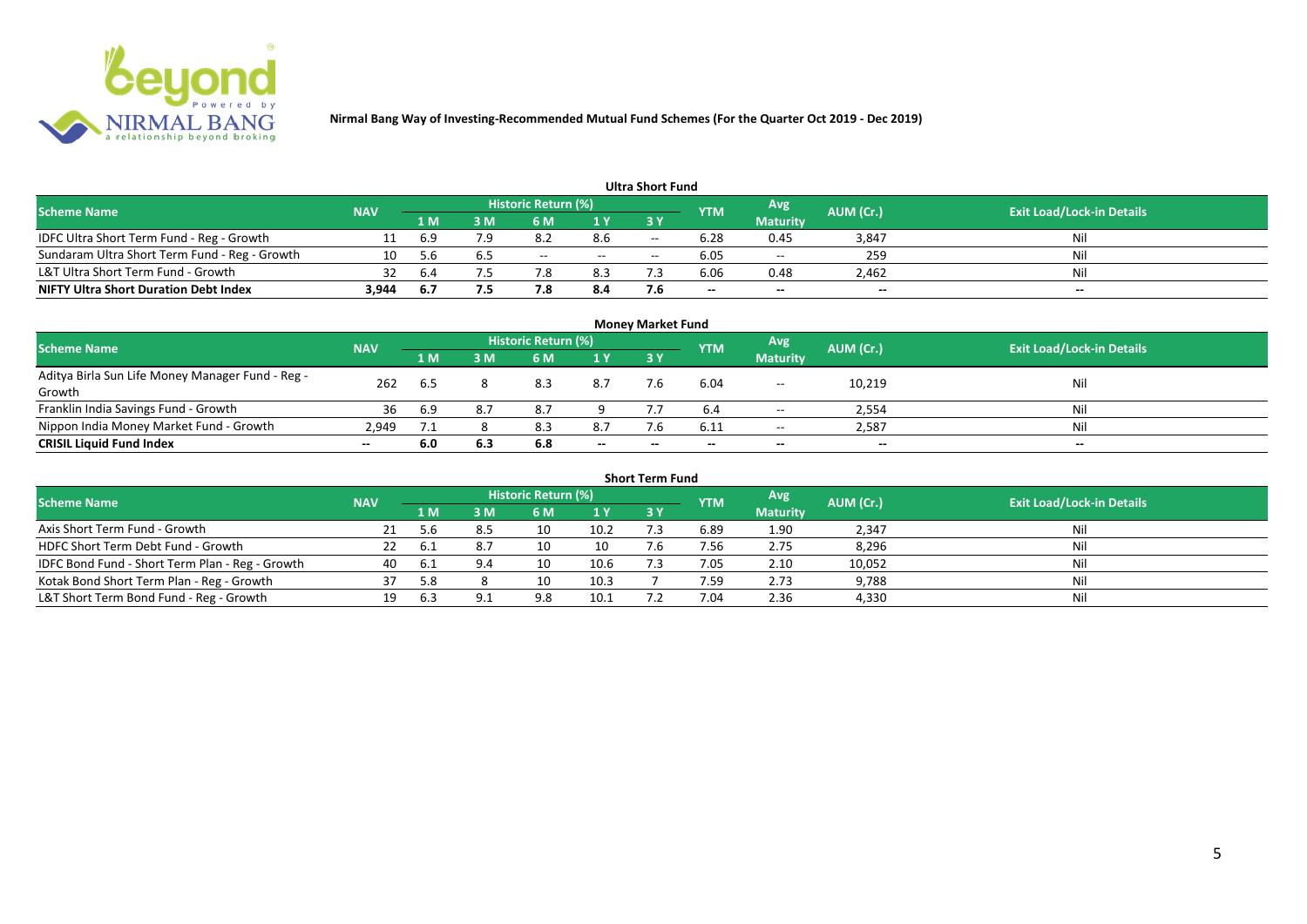

|                                               |            |      |     |                            |       | <b>Ultra Short Fund</b> |            |                 |                          |                                  |
|-----------------------------------------------|------------|------|-----|----------------------------|-------|-------------------------|------------|-----------------|--------------------------|----------------------------------|
| <b>Scheme Name</b>                            | <b>NAV</b> |      |     | <b>Historic Return (%)</b> |       |                         | <b>YTM</b> | Avg             | AUM (Cr.)                | <b>Exit Load/Lock-in Details</b> |
|                                               |            | 1 M  | 3 M |                            | 1 Y   | 73 Y                    |            | <b>Maturity</b> |                          |                                  |
| IDFC Ultra Short Term Fund - Reg - Growth     |            | 6.9  |     | ہ.د                        | 8.6   | $- -$                   | 6.28       | 0.45            | 3,847                    | Nil                              |
| Sundaram Ultra Short Term Fund - Reg - Growth |            |      |     | $- -$                      | $- -$ | $- -$                   | 6.05       | $- -$           | 259                      | Nil                              |
| L&T Ultra Short Term Fund - Growth            | 32         | -6.4 |     |                            | 8.3   |                         | 6.06       | 0.48            | 2,462                    | Nil                              |
| <b>NIFTY Ultra Short Duration Debt Index</b>  | 3,944      | -6.7 | 7.5 |                            | 8.4   | 7.6                     | $- -$      | $- -$           | $\overline{\phantom{a}}$ | $-$                              |

|                                                  |            |              |     |                            |       | <b>Money Market Fund</b> |            |                          |           |                                  |
|--------------------------------------------------|------------|--------------|-----|----------------------------|-------|--------------------------|------------|--------------------------|-----------|----------------------------------|
| <b>Scheme Name</b>                               | <b>NAV</b> |              |     | <b>Historic Return (%)</b> |       |                          | <b>YTM</b> | Avg                      | AUM (Cr.) | <b>Exit Load/Lock-in Details</b> |
|                                                  |            | 1 M          | 3 M | <b>6M</b>                  | 1Y    | 73 Y                     |            | <b>Maturity</b>          |           |                                  |
| Aditya Birla Sun Life Money Manager Fund - Reg - | 262        |              |     | 8.3                        | 8.7   |                          | 6.04       |                          | 10,219    | Nil                              |
| Growth                                           |            | 6.5          |     |                            |       |                          |            | $\overline{\phantom{a}}$ |           |                                  |
| Franklin India Savings Fund - Growth             | 36         | 6.9          |     |                            |       |                          |            | $- -$                    | 2,554     | Nil                              |
| Nippon India Money Market Fund - Growth          | 2.949      | , <u>, ,</u> |     | 8.3                        | 8.7   |                          | 6.11       | $  \,$                   | 2,587     | Nil                              |
| <b>CRISIL Liquid Fund Index</b>                  | $- -$      | 6.0          | 6.3 | 6.8                        | $- -$ | $- -$                    | --         | $- -$                    | $-$       | $- -$                            |

|                                                 |            |       |     |                     |      | <b>Short Term Fund</b> |            |                 |           |                                  |
|-------------------------------------------------|------------|-------|-----|---------------------|------|------------------------|------------|-----------------|-----------|----------------------------------|
| <b>Scheme Name</b>                              | <b>NAV</b> |       |     | Historic Return (%) |      |                        | <b>YTM</b> | Avg             | AUM (Cr.) | <b>Exit Load/Lock-in Details</b> |
|                                                 |            | '1 M. | 3 M | 6 M                 | 1Y   | <b>3 Y</b>             |            | <b>Maturity</b> |           |                                  |
| Axis Short Term Fund - Growth                   |            | 5.6   |     | 10                  | 10.2 |                        | 6.89       | 1.90            | 2,347     | Nil                              |
| HDFC Short Term Debt Fund - Growth              |            | b.1   |     | 10                  | 10   |                        | 7.56       | 2.75            | 8,296     | Nil                              |
| IDFC Bond Fund - Short Term Plan - Reg - Growth | 40         | -6.1  | 9.4 | 10                  | 10.6 |                        | 7.05       | 2.10            | 10,052    | Nil                              |
| Kotak Bond Short Term Plan - Reg - Growth       |            | 5.8   |     | 10                  | 10.3 |                        | 7.59.      | 2.73            | 9,788     | Nil                              |
| L&T Short Term Bond Fund - Reg - Growth         |            | 6.3   |     | 9.8                 | 10.1 |                        | 7.04       | 2.36            | 4,330     | Nil                              |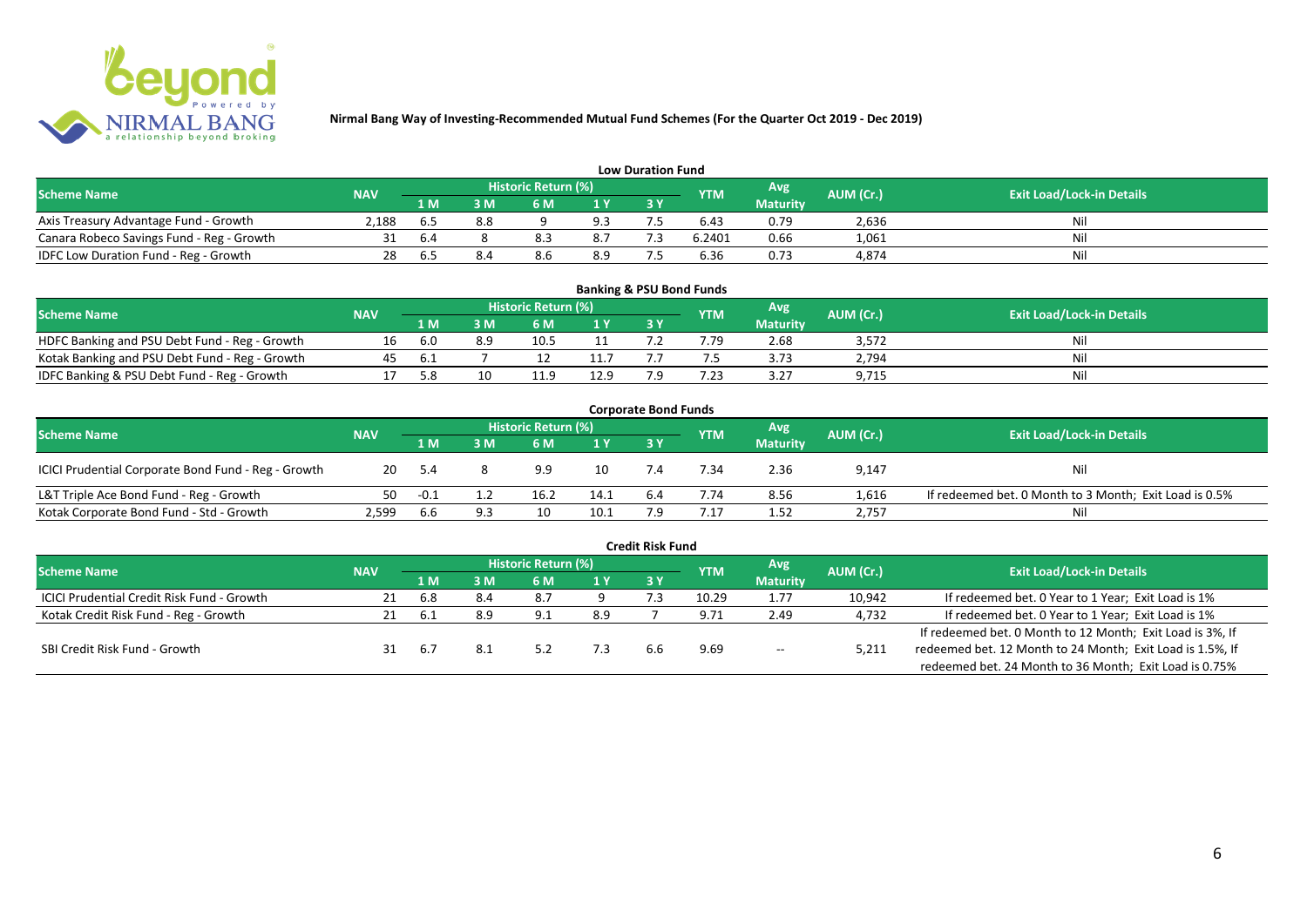

|                                           |            |     |     |                     |     | <b>Low Duration Fund</b> |            |                 |           |                                  |
|-------------------------------------------|------------|-----|-----|---------------------|-----|--------------------------|------------|-----------------|-----------|----------------------------------|
| <b>Scheme Name</b>                        | <b>NAV</b> |     |     | Historic Return (%) |     |                          | <b>YTM</b> | Avg             | AUM (Cr.) | <b>Exit Load/Lock-in Details</b> |
|                                           |            | 1 M | 3 M | 6 M                 | 1 Y | 3 Y                      |            | <b>Maturity</b> |           |                                  |
| Axis Treasury Advantage Fund - Growth     | 2.188      | b.5 |     |                     | 9.3 |                          | 6.43       | 0.79            | 2,636     | Nil                              |
| Canara Robeco Savings Fund - Reg - Growth |            | b.4 |     |                     | 8.7 |                          | 6.2401     | 0.66            | 1,061     | Nil                              |
| IDFC Low Duration Fund - Reg - Growth     | 28         | .to |     | 8.6                 | 8.9 |                          | 6.36       | 0.73            | 4,874     | Nil                              |

| <b>Banking &amp; PSU Bond Funds</b>            |            |     |     |                            |      |     |            |                 |           |                                  |  |  |  |
|------------------------------------------------|------------|-----|-----|----------------------------|------|-----|------------|-----------------|-----------|----------------------------------|--|--|--|
| <b>Scheme Name</b>                             | <b>NAV</b> |     |     | <b>Historic Return (%)</b> |      |     | <b>YTM</b> | Avg             | AUM (Cr.) | <b>Exit Load/Lock-in Details</b> |  |  |  |
|                                                |            | 1 M | 8 M | 6 M                        |      | 3 Y |            | <b>Maturity</b> |           |                                  |  |  |  |
| HDFC Banking and PSU Debt Fund - Reg - Growth  |            | 6.0 | 8.9 |                            |      |     | 7.79       | 2.68            | 3,572     | Ni                               |  |  |  |
| Kotak Banking and PSU Debt Fund - Reg - Growth | 45         | h.  |     |                            |      |     |            | 3.73            | 2,794     | Ni                               |  |  |  |
| IDFC Banking & PSU Debt Fund - Reg - Growth    |            | 5.8 |     | 11.I                       | 12.9 |     | .23        | 3.27            | 9,715     | Nil                              |  |  |  |

| <b>Corporate Bond Funds</b>                         |            |        |                                                              |      |      |                                  |      |                 |       |                                                        |  |  |  |  |
|-----------------------------------------------------|------------|--------|--------------------------------------------------------------|------|------|----------------------------------|------|-----------------|-------|--------------------------------------------------------|--|--|--|--|
| <b>Scheme Name</b>                                  | <b>NAV</b> |        | Historic Return (%)<br><b>Avg</b><br>AUM (Cr.)<br><b>YTM</b> |      |      | <b>Exit Load/Lock-in Details</b> |      |                 |       |                                                        |  |  |  |  |
|                                                     |            | 1 M    | : M                                                          | 6 M  | 1 Y  | 3Y                               |      | <b>Maturity</b> |       |                                                        |  |  |  |  |
| ICICI Prudential Corporate Bond Fund - Reg - Growth | 20         | - 5.4  |                                                              | 9.9  | 10   |                                  | 7.34 | 2.36            | 9,147 | Nil                                                    |  |  |  |  |
| L&T Triple Ace Bond Fund - Reg - Growth             | 50         | $-0.1$ |                                                              | 16.2 | 14.1 | 6.4                              | 7.74 | 8.56            | 1,616 | If redeemed bet. 0 Month to 3 Month; Exit Load is 0.5% |  |  |  |  |
| Kotak Corporate Bond Fund - Std - Growth            | 2,599      | b.b    |                                                              |      | 10.1 |                                  | .17  | 1.52            | 2,757 | Nil                                                    |  |  |  |  |

| <b>Credit Risk Fund</b>                    |            |                |     |                            |      |     |            |                 |           |                                                           |  |  |  |
|--------------------------------------------|------------|----------------|-----|----------------------------|------|-----|------------|-----------------|-----------|-----------------------------------------------------------|--|--|--|
| <b>Scheme Name</b>                         | <b>NAV</b> |                |     | <b>Historic Return (%)</b> |      |     | <b>YTM</b> | Avg             | AUM (Cr.) | <b>Exit Load/Lock-in Details</b>                          |  |  |  |
|                                            |            | 4 MZ           | 3 M | 6 M                        | 1Y   | 3Y  |            | <b>Maturity</b> |           |                                                           |  |  |  |
| ICICI Prudential Credit Risk Fund - Growth | 21         | 6.8            | 8.4 | 8.7                        |      |     | 10.29      | 1.77            | 10,942    | If redeemed bet. 0 Year to 1 Year; Exit Load is 1%        |  |  |  |
| Kotak Credit Risk Fund - Reg - Growth      |            | b.1            | 8.9 | Q 1                        | 8.9  |     | 9.71       | 2.49            | 4,732     | If redeemed bet. 0 Year to 1 Year; Exit Load is 1%        |  |  |  |
|                                            |            |                |     |                            |      |     |            |                 |           | If redeemed bet. 0 Month to 12 Month; Exit Load is 3%, If |  |  |  |
| SBI Credit Risk Fund - Growth              |            | $\mathbf{b}$ . |     |                            | د. ا | 6.6 | 9.69       | $\sim$ $\sim$   | 5,211     | redeemed bet. 12 Month to 24 Month; Exit Load is 1.5%, If |  |  |  |
|                                            |            |                |     |                            |      |     |            |                 |           | redeemed bet. 24 Month to 36 Month; Exit Load is 0.75%    |  |  |  |